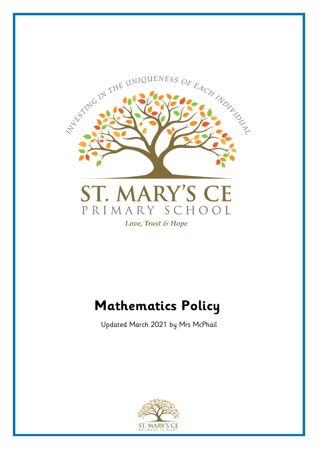

# **Mathematics Policy**

Updated March 2021 by Mrs McPhail

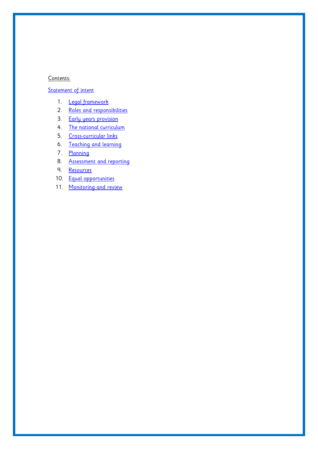#### Contents:

# Statement of intent

- 1. Legal framework
- 2. Roles and responsibilities
- 3. Early years provision
- 4. The national curriculum
- 5. [Cross-curricular links](#page-21-0)
- 6. Teaching and learning
- 7. Planning
- 8. Assessment and reporting
- 9. Resources
- 10. Equal opportunities
- 11. Monitoring and review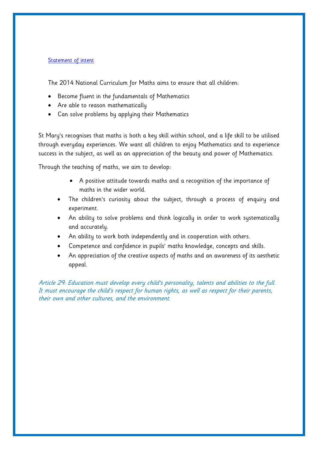## **Statement of intent**

The 2014 National Curriculum for Maths aims to ensure that all children:

- Become fluent in the fundamentals of Mathematics
- Are able to reason mathematically
- Can solve problems by applying their Mathematics

St Mary's recognises that maths is both a key skill within school, and a life skill to be utilised through everyday experiences. We want all children to enjoy Mathematics and to experience success in the subject, as well as an appreciation of the beauty and power of Mathematics.

Through the teaching of maths, we aim to develop:

- A positive attitude towards maths and a recognition of the importance of maths in the wider world.
- The children's curiosity about the subject, through a process of enquiry and experiment.
- An ability to solve problems and think logically in order to work systematically and accurately.
- An ability to work both independently and in cooperation with others.
- Competence and confidence in pupils' maths knowledge, concepts and skills.
- An appreciation of the creative aspects of maths and an awareness of its aesthetic appeal.

Article 29: Education must develop every child's personality, talents and abilities to the full. It must encourage the child's respect for human rights, as well as respect for their parents, their own and other cultures, and the environment.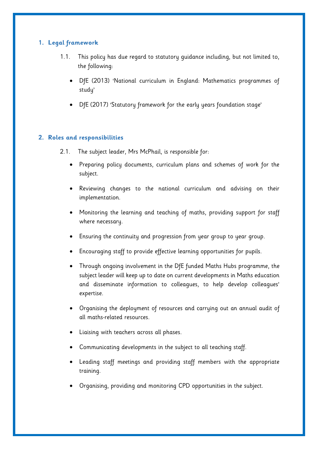# **1. Legal framework**

- 1.1. This policy has due regard to statutory guidance including, but not limited to, the following:
	- DfE (2013) 'National curriculum in England: Mathematics programmes of study'
	- DfE (2017) 'Statutory framework for the early years foundation stage'

# **2. Roles and responsibilities**

- 2.1. The subject leader, Mrs McPhail, is responsible for:
	- Preparing policy documents, curriculum plans and schemes of work for the subject.
	- Reviewing changes to the national curriculum and advising on their implementation.
	- Monitoring the learning and teaching of maths, providing support for staff where necessary.
	- Ensuring the continuity and progression from year group to year group.
	- Encouraging staff to provide effective learning opportunities for pupils.
	- Through ongoing involvement in the DfE funded Maths Hubs programme, the subject leader will keep up to date on current developments in Maths education and disseminate information to colleagues, to help develop colleagues' expertise.
	- Organising the deployment of resources and carrying out an annual audit of all maths-related resources.
	- Liaising with teachers across all phases.
	- Communicating developments in the subject to all teaching staff.
	- Leading staff meetings and providing staff members with the appropriate training.
	- Organising, providing and monitoring CPD opportunities in the subject.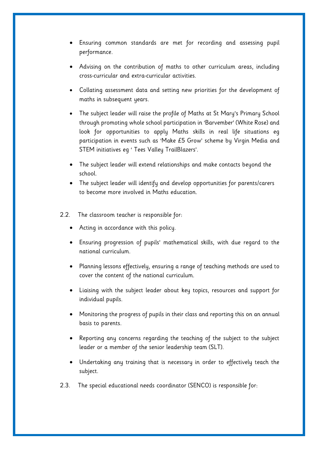- Ensuring common standards are met for recording and assessing pupil performance.
- Advising on the contribution of maths to other curriculum areas, including cross-curricular and extra-curricular activities.
- Collating assessment data and setting new priorities for the development of maths in subsequent years.
- The subject leader will raise the profile of Maths at St Mary's Primary School through promoting whole school participation in 'Barvember' (White Rose) and look for opportunities to apply Maths skills in real life situations eg participation in events such as 'Make £5 Grow' scheme by Virgin Media and STEM initiatives eg ' Tees Valley TrailBlazers'.
- The subject leader will extend relationships and make contacts beyond the school.
- The subject leader will identify and develop opportunities for parents/carers to become more involved in Maths education.
- 2.2. The classroom teacher is responsible for:
	- Acting in accordance with this policy.
	- Ensuring progression of pupils' mathematical skills, with due regard to the national curriculum.
	- Planning lessons effectively, ensuring a range of teaching methods are used to cover the content of the national curriculum.
	- Liaising with the subject leader about key topics, resources and support for individual pupils.
	- Monitoring the progress of pupils in their class and reporting this on an annual basis to parents.
	- Reporting any concerns regarding the teaching of the subject to the subject leader or a member of the senior leadership team (SLT).
	- Undertaking any training that is necessary in order to effectively teach the subject.
- 2.3. The special educational needs coordinator (SENCO) is responsible for: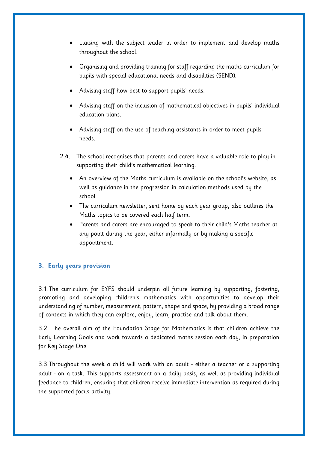- Liaising with the subject leader in order to implement and develop maths throughout the school.
- Organising and providing training for staff regarding the maths curriculum for pupils with special educational needs and disabilities (SEND).
- Advising staff how best to support pupils' needs.
- Advising staff on the inclusion of mathematical objectives in pupils' individual education plans.
- Advising staff on the use of teaching assistants in order to meet pupils' needs.
- 2.4. The school recognises that parents and carers have a valuable role to play in supporting their child's mathematical learning.
	- An overview of the Maths curriculum is available on the school's website, as well as guidance in the progression in calculation methods used by the school.
	- The curriculum newsletter, sent home by each year group, also outlines the Maths topics to be covered each half term.
	- Parents and carers are encouraged to speak to their child's Maths teacher at any point during the year, either informally or by making a specific appointment.

# **3. Early years provision**

3.1.The curriculum for EYFS should underpin all future learning by supporting, fostering, promoting and developing children's mathematics with opportunities to develop their understanding of number, measurement, pattern, shape and space, by providing a broad range of contexts in which they can explore, enjoy, learn, practise and talk about them.

3.2. The overall aim of the Foundation Stage for Mathematics is that children achieve the Early Learning Goals and work towards a dedicated maths session each day, in preparation for Key Stage One.

3.3.Throughout the week a child will work with an adult - either a teacher or a supporting adult - on a task. This supports assessment on a daily basis, as well as providing individual feedback to children, ensuring that children receive immediate intervention as required during the supported focus activity.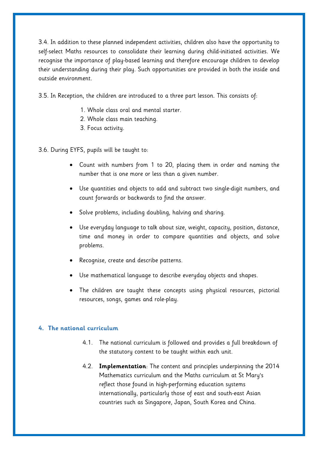3.4. In addition to these planned independent activities, children also have the opportunity to self-select Maths resources to consolidate their learning during child-initiated activities. We recognise the importance of play-based learning and therefore encourage children to develop their understanding during their play. Such opportunities are provided in both the inside and outside environment.

3.5. In Reception, the children are introduced to a three part lesson. This consists of:

- 1. Whole class oral and mental starter.
- 2. Whole class main teaching.
- 3. Focus activity.

3.6. During EYFS, pupils will be taught to:

- Count with numbers from 1 to 20, placing them in order and naming the number that is one more or less than a given number.
- Use quantities and objects to add and subtract two single-digit numbers, and count forwards or backwards to find the answer.
- Solve problems, including doubling, halving and sharing.
- Use everyday language to talk about size, weight, capacity, position, distance, time and money in order to compare quantities and objects, and solve problems.
- Recognise, create and describe patterns.
- Use mathematical language to describe everyday objects and shapes.
- The children are taught these concepts using physical resources, pictorial resources, songs, games and role-play.

#### **4. The national curriculum**

- 4.1. The national curriculum is followed and provides a full breakdown of the statutory content to be taught within each unit.
- 4.2. **Implementation**: The content and principles underpinning the 2014 Mathematics curriculum and the Maths curriculum at St Mary's reflect those found in high-performing education systems internationally, particularly those of east and south-east Asian countries such as Singapore, Japan, South Korea and China.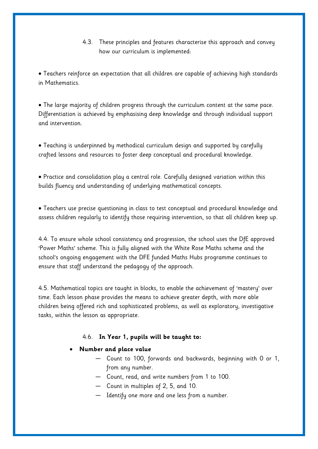4.3. These principles and features characterise this approach and convey how our curriculum is implemented:

• Teachers reinforce an expectation that all children are capable of achieving high standards in Mathematics.

• The large majority of children progress through the curriculum content at the same pace. Differentiation is achieved by emphasising deep knowledge and through individual support and intervention.

• Teaching is underpinned by methodical curriculum design and supported by carefully crafted lessons and resources to foster deep conceptual and procedural knowledge.

• Practice and consolidation play a central role. Carefully designed variation within this builds fluency and understanding of underlying mathematical concepts.

• Teachers use precise questioning in class to test conceptual and procedural knowledge and assess children regularly to identify those requiring intervention, so that all children keep up.

4.4. To ensure whole school consistency and progression, the school uses the DfE approved 'Power Maths' scheme. This is fully aligned with the White Rose Maths scheme and the school's ongoing engagement with the DFE funded Maths Hubs programme continues to ensure that staff understand the pedagogy of the approach.

4.5. Mathematical topics are taught in blocks, to enable the achievement of 'mastery' over time. Each lesson phase provides the means to achieve greater depth, with more able children being offered rich and sophisticated problems, as well as exploratory, investigative tasks, within the lesson as appropriate.

## 4.6. **In Year 1, pupils will be taught to:**

# • **Number and place value**

- Count to 100, forwards and backwards, beginning with 0 or 1, from any number.
- Count, read, and write numbers from 1 to 100.
- Count in multiples of 2, 5, and 10.
- Identify one more and one less from a number.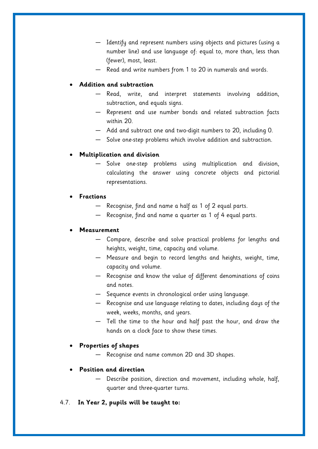- Identify and represent numbers using objects and pictures (using a number line) and use language of: equal to, more than, less than (fewer), most, least.
- Read and write numbers from 1 to 20 in numerals and words.

## • **Addition and subtraction**

- Read, write, and interpret statements involving addition, subtraction, and equals signs.
- Represent and use number bonds and related subtraction facts within 20.
- Add and subtract one and two-digit numbers to 20, including 0.
- Solve one-step problems which involve addition and subtraction.

## • **Multiplication and division**

Solve one-step problems using multiplication and division, calculating the answer using concrete objects and pictorial representations.

## • **Fractions**

- Recognise, find and name a half as 1 of 2 equal parts.
- Recognise, find and name a quarter as 1 of 4 equal parts.

#### • **Measurement**

- Compare, describe and solve practical problems for lengths and heights, weight, time, capacity and volume.
- Measure and begin to record lengths and heights, weight, time, capacity and volume.
- Recognise and know the value of different denominations of coins and notes.
- Sequence events in chronological order using language.
- Recognise and use language relating to dates, including days of the week, weeks, months, and years.
- Tell the time to the hour and half past the hour, and draw the hands on a clock face to show these times.

#### • **Properties of shapes**

— Recognise and name common 2D and 3D shapes.

#### • **Position and direction**

- Describe position, direction and movement, including whole, half, quarter and three-quarter turns.
- 4.7. **In Year 2, pupils will be taught to:**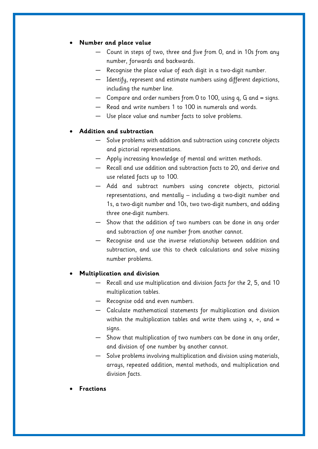## • **Number and place value**

- Count in steps of two, three and five from 0, and in 10s from any number, forwards and backwards.
- Recognise the place value of each digit in a two-digit number.
- Identify, represent and estimate numbers using different depictions, including the number line.
- $-$  Compare and order numbers from 0 to 100, using q, G and  $=$  signs.
- Read and write numbers 1 to 100 in numerals and words.
- Use place value and number facts to solve problems.

#### • **Addition and subtraction**

- Solve problems with addition and subtraction using concrete objects and pictorial representations.
- Apply increasing knowledge of mental and written methods.
- Recall and use addition and subtraction facts to 20, and derive and use related facts up to 100.
- Add and subtract numbers using concrete objects, pictorial representations, and mentally – including a two-digit number and 1s, a two-digit number and 10s, two two-digit numbers, and adding three one-digit numbers.
- Show that the addition of two numbers can be done in any order and subtraction of one number from another cannot.
- Recognise and use the inverse relationship between addition and subtraction, and use this to check calculations and solve missing number problems.

#### • **Multiplication and division**

- Recall and use multiplication and division facts for the 2, 5, and 10 multiplication tables.
- Recognise odd and even numbers.
- Calculate mathematical statements for multiplication and division within the multiplication tables and write them using  $x$ ,  $\div$ , and = signs.
- Show that multiplication of two numbers can be done in any order, and division of one number by another cannot.
- Solve problems involving multiplication and division using materials, arrays, repeated addition, mental methods, and multiplication and division facts.
- **Fractions**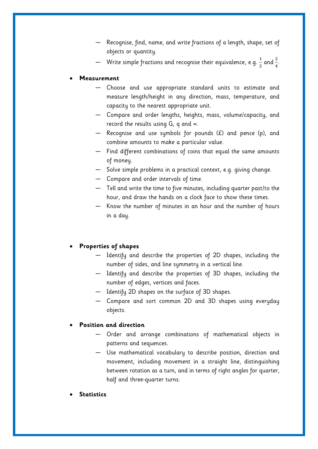- Recognise, find, name, and write fractions of a length, shape, set of objects or quantity.
- Write simple fractions and recognise their equivalence, e.g.  $\frac{1}{2}$  and  $\frac{2}{4}$ .

#### • **Measurement**

- Choose and use appropriate standard units to estimate and measure length/height in any direction, mass, temperature, and capacity to the nearest appropriate unit.
- Compare and order lengths, heights, mass, volume/capacity, and record the results using  $G$ , q and  $=$ .
- $-$  Recognise and use symbols for pounds  $(E)$  and pence (p), and combine amounts to make a particular value.
- Find different combinations of coins that equal the same amounts of money.
- Solve simple problems in a practical context, e.g. giving change.
- Compare and order intervals of time.
- Tell and write the time to five minutes, including quarter past/to the hour, and draw the hands on a clock face to show these times.
- Know the number of minutes in an hour and the number of hours in a day.

## • **Properties of shapes**

- Identify and describe the properties of 2D shapes, including the number of sides, and line symmetry in a vertical line.
- Identify and describe the properties of 3D shapes, including the number of edges, vertices and faces.
- Identify 2D shapes on the surface of 3D shapes.
- Compare and sort common 2D and 3D shapes using everyday objects.

#### • **Position and direction**

- Order and arrange combinations of mathematical objects in patterns and sequences.
- Use mathematical vocabulary to describe position, direction and movement, including movement in a straight line, distinguishing between rotation as a turn, and in terms of right angles for quarter, half and three-quarter turns.
- **Statistics**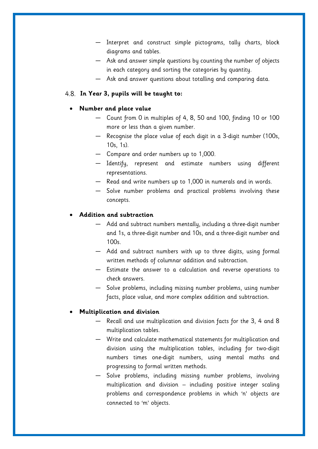- Interpret and construct simple pictograms, tally charts, block diagrams and tables.
- Ask and answer simple questions by counting the number of objects in each category and sorting the categories by quantity.
- Ask and answer questions about totalling and comparing data.

#### **In Year 3, pupils will be taught to:**

#### • **Number and place value**

- Count from 0 in multiples of 4, 8, 50 and 100, finding 10 or 100 more or less than a given number.
- Recognise the place value of each digit in a 3-digit number (100s, 10s, 1s).
- Compare and order numbers up to 1,000.
- Identify, represent and estimate numbers using different representations.
- Read and write numbers up to 1,000 in numerals and in words.
- Solve number problems and practical problems involving these concepts.

#### • **Addition and subtraction**

- Add and subtract numbers mentally, including a three-digit number and 1s, a three-digit number and 10s, and a three-digit number and 100s.
- Add and subtract numbers with up to three digits, using formal written methods of columnar addition and subtraction.
- Estimate the answer to a calculation and reverse operations to check answers.
- Solve problems, including missing number problems, using number facts, place value, and more complex addition and subtraction.

#### • **Multiplication and division**

- Recall and use multiplication and division facts for the 3, 4 and 8 multiplication tables.
- Write and calculate mathematical statements for multiplication and division using the multiplication tables, including for two-digit numbers times one-digit numbers, using mental maths and progressing to formal written methods.
- Solve problems, including missing number problems, involving multiplication and division – including positive integer scaling problems and correspondence problems in which 'n' objects are connected to 'm' objects.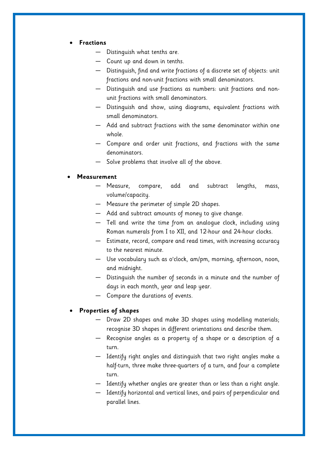#### • **Fractions**

- Distinguish what tenths are.
- Count up and down in tenths.
- Distinguish, find and write fractions of a discrete set of objects: unit fractions and non-unit fractions with small denominators.
- Distinguish and use fractions as numbers: unit fractions and nonunit fractions with small denominators.
- Distinguish and show, using diagrams, equivalent fractions with small denominators.
- Add and subtract fractions with the same denominator within one whole.
- Compare and order unit fractions, and fractions with the same denominators.
- Solve problems that involve all of the above.

#### • **Measurement**

- Measure, compare, add and subtract lengths, mass, volume/capacity.
- Measure the perimeter of simple 2D shapes.
- Add and subtract amounts of money to give change.
- Tell and write the time from an analogue clock, including using Roman numerals from I to XII, and 12-hour and 24-hour clocks.
- Estimate, record, compare and read times, with increasing accuracy to the nearest minute.
- Use vocabulary such as o'clock, am/pm, morning, afternoon, noon, and midnight.
- Distinguish the number of seconds in a minute and the number of days in each month, year and leap year.
- Compare the durations of events.

#### • **Properties of shapes**

- Draw 2D shapes and make 3D shapes using modelling materials; recognise 3D shapes in different orientations and describe them.
- Recognise angles as a property of a shape or a description of a turn.
- Identify right angles and distinguish that two right angles make a half-turn, three make three-quarters of a turn, and four a complete turn.
- Identify whether angles are greater than or less than a right angle.
- Identify horizontal and vertical lines, and pairs of perpendicular and parallel lines.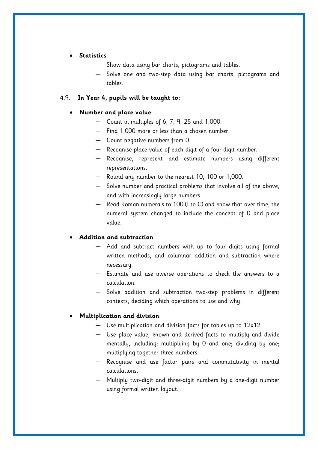## • **Statistics**

- Show data using bar charts, pictograms and tables.
- Solve one and two-step data using bar charts, pictograms and tables.

## 4.9. **In Year 4, pupils will be taught to:**

#### • **Number and place value**

- Count in multiples of 6, 7, 9, 25 and 1,000.
- Find 1,000 more or less than a chosen number.
- Count negative numbers from 0.
- Recognise place value of each digit of a four-digit number.
- Recognise, represent and estimate numbers using different representations.
- Round any number to the nearest 10, 100 or 1,000.
- Solve number and practical problems that involve all of the above, and with increasingly large numbers.
- Read Roman numerals to 100 (I to C) and know that over time, the numeral system changed to include the concept of 0 and place value.

## • **Addition and subtraction**

- Add and subtract numbers with up to four digits using formal written methods, and columnar addition and subtraction where necessary.
- Estimate and use inverse operations to check the answers to a calculation.
- Solve addition and subtraction two-step problems in different contexts, deciding which operations to use and why.

#### • **Multiplication and division**

- Use multiplication and division facts for tables up to 12x12
- Use place value, known and derived facts to multiply and divide mentally, including: multiplying by 0 and one; dividing by one; multiplying together three numbers.
- Recognise and use factor pairs and commutativity in mental calculations.
- Multiply two-digit and three-digit numbers by a one-digit number using formal written layout.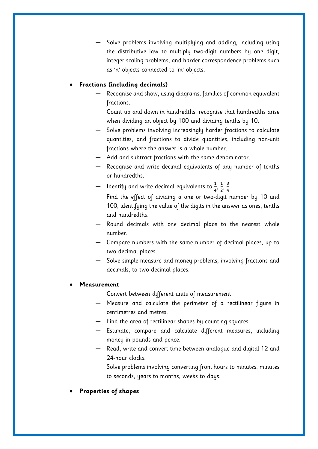Solve problems involving multiplying and adding, including using the distributive law to multiply two-digit numbers by one digit, integer scaling problems, and harder correspondence problems such as 'n' objects connected to 'm' objects.

# • **Fractions (including decimals)**

- Recognise and show, using diagrams, families of common equivalent fractions.
- Count up and down in hundredths; recognise that hundredths arise when dividing an object by 100 and dividing tenths by 10.
- Solve problems involving increasingly harder fractions to calculate quantities, and fractions to divide quantities, including non-unit fractions where the answer is a whole number.
- Add and subtract fractions with the same denominator.
- Recognise and write decimal equivalents of any number of tenths or hundredths.
- Identify and write decimal equivalents to  $\frac{1}{4}$ ,  $\frac{1}{2}$  $\frac{1}{2}$ ,  $\frac{3}{4}$ 4
- Find the effect of dividing a one or two-digit number by 10 and 100, identifying the value of the digits in the answer as ones, tenths and hundredths.
- Round decimals with one decimal place to the nearest whole number.
- Compare numbers with the same number of decimal places, up to two decimal places.
- Solve simple measure and money problems, involving fractions and decimals, to two decimal places.

## • **Measurement**

- Convert between different units of measurement.
- Measure and calculate the perimeter of a rectilinear figure in centimetres and metres.
- Find the area of rectilinear shapes by counting squares.
- Estimate, compare and calculate different measures, including money in pounds and pence.
- Read, write and convert time between analogue and digital 12 and 24-hour clocks.
- Solve problems involving converting from hours to minutes, minutes to seconds, years to months, weeks to days.
- **Properties of shapes**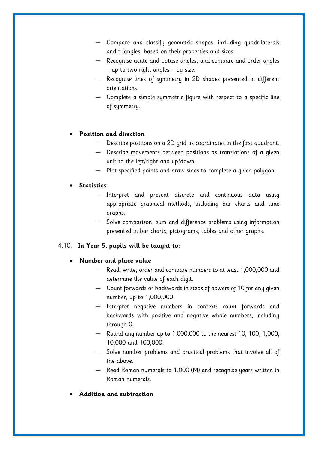- Compare and classify geometric shapes, including quadrilaterals and triangles, based on their properties and sizes.
- Recognise acute and obtuse angles, and compare and order angles – up to two right angles – by size.
- Recognise lines of symmetry in 2D shapes presented in different orientations.
- Complete a simple symmetric figure with respect to a specific line of symmetry.

## • **Position and direction**

- Describe positions on a 2D grid as coordinates in the first quadrant.
- Describe movements between positions as translations of a given unit to the left/right and up/down.
- Plot specified points and draw sides to complete a given polygon.

#### • **Statistics**

- Interpret and present discrete and continuous data using appropriate graphical methods, including bar charts and time graphs.
- Solve comparison, sum and difference problems using information presented in bar charts, pictograms, tables and other graphs.

## 4.10. **In Year 5, pupils will be taught to:**

#### • **Number and place value**

- Read, write, order and compare numbers to at least 1,000,000 and determine the value of each digit.
- Count forwards or backwards in steps of powers of 10 for any given number, up to 1,000,000.
- Interpret negative numbers in context: count forwards and backwards with positive and negative whole numbers, including through 0.
- Round any number up to 1,000,000 to the nearest 10, 100, 1,000, 10,000 and 100,000.
- Solve number problems and practical problems that involve all of the above.
- Read Roman numerals to 1,000 (M) and recognise years written in Roman numerals.
- **Addition and subtraction**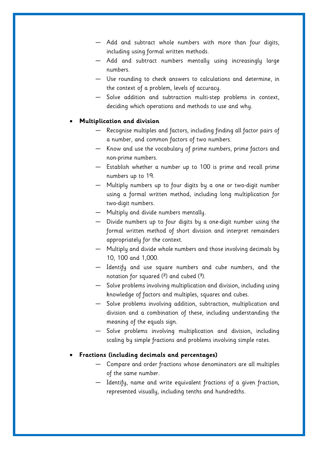- Add and subtract whole numbers with more than four digits, including using formal written methods.
- Add and subtract numbers mentally using increasingly large numbers.
- Use rounding to check answers to calculations and determine, in the context of a problem, levels of accuracy.
- Solve addition and subtraction multi-step problems in context, deciding which operations and methods to use and why.

#### • **Multiplication and division**

- Recognise multiples and factors, including finding all factor pairs of a number, and common factors of two numbers.
- Know and use the vocabulary of prime numbers, prime factors and non-prime numbers.
- Establish whether a number up to 100 is prime and recall prime numbers up to 19.
- Multiply numbers up to four digits by a one or two-digit number using a formal written method, including long multiplication for two-digit numbers.
- Multiply and divide numbers mentally.
- $-$  Divide numbers up to four digits by a one-digit number using the formal written method of short division and interpret remainders appropriately for the context.
- Multiply and divide whole numbers and those involving decimals by 10, 100 and 1,000.
- Identify and use square numbers and cube numbers, and the notation for squared  $(2)$  and cubed  $(3)$ .
- Solve problems involving multiplication and division, including using knowledge of factors and multiples, squares and cubes.
- Solve problems involving addition, subtraction, multiplication and division and a combination of these, including understanding the meaning of the equals sign.
- Solve problems involving multiplication and division, including scaling by simple fractions and problems involving simple rates.

## • **Fractions (including decimals and percentages)**

- Compare and order fractions whose denominators are all multiples of the same number.
- Identify, name and write equivalent fractions of a given fraction, represented visually, including tenths and hundredths.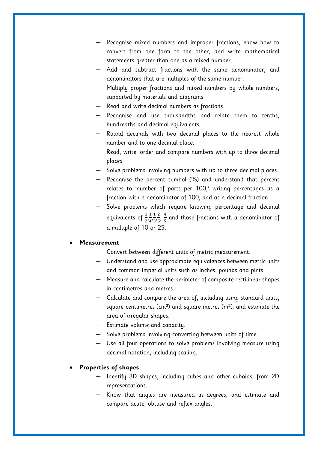- Recognise mixed numbers and improper fractions, know how to convert from one form to the other, and write mathematical statements greater than one as a mixed number.
- Add and subtract fractions with the same denominator, and denominators that are multiples of the same number.
- Multiply proper fractions and mixed numbers by whole numbers, supported by materials and diagrams.
- Read and write decimal numbers as fractions.
- Recognise and use thousandths and relate them to tenths, hundredths and decimal equivalents.
- Round decimals with two decimal places to the nearest whole number and to one decimal place.
- Read, write, order and compare numbers with up to three decimal places.
- Solve problems involving numbers with up to three decimal places.
- Recognise the percent symbol (%) and understand that percent relates to 'number of parts per 100,' writing percentages as a fraction with a denominator of 100, and as a decimal fraction
- Solve problems which require knowing percentage and decimal equivalents of  $\frac{1}{2}, \frac{1}{4}$  $\frac{1}{4}$ ,  $\frac{1}{5}$  $\frac{1}{5}$ ,  $\frac{2}{5}$  $\frac{2}{5}, \frac{4}{5}$  $\frac{4}{5}$  and those fractions with a denominator of a multiple of 10 or 25.

#### • **Measurement**

- Convert between different units of metric measurement.
- Understand and use approximate equivalences between metric units and common imperial units such as inches, pounds and pints.
- Measure and calculate the perimeter of composite rectilinear shapes in centimetres and metres.
- Calculate and compare the area of, including using standard units, square centimetres (cm²) and square metres (m²), and estimate the area of irregular shapes.
- Estimate volume and capacity.
- Solve problems involving converting between units of time.
- Use all four operations to solve problems involving measure using decimal notation, including scaling.

## • **Properties of shapes**

- Identify 3D shapes, including cubes and other cuboids, from 2D representations.
- Know that angles are measured in degrees, and estimate and compare acute, obtuse and reflex angles.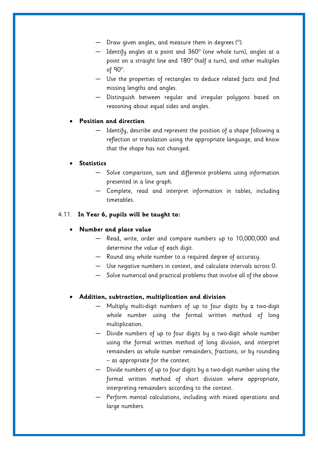- Draw given angles, and measure them in degrees (°).
- Identify angles at a point and 360° (one whole turn), angles at a point on a straight line and 180° (half a turn), and other multiples of 90°.
- Use the properties of rectangles to deduce related facts and find missing lengths and angles.
- Distinguish between regular and irregular polygons based on reasoning about equal sides and angles.

## • **Position and direction**

— Identify, describe and represent the position of a shape following a reflection or translation using the appropriate language, and know that the shape has not changed.

## • **Statistics**

- Solve comparison, sum and difference problems using information presented in a line graph.
- Complete, read and interpret information in tables, including timetables.

## 4.11. **In Year 6, pupils will be taught to:**

## • **Number and place value**

- Read, write, order and compare numbers up to 10,000,000 and determine the value of each digit.
- Round any whole number to a required degree of accuracy.
- Use negative numbers in context, and calculate intervals across 0.
- Solve numerical and practical problems that involve all of the above.

#### • **Addition, subtraction, multiplication and division**

- Multiply multi-digit numbers of up to four digits by a two-digit whole number using the formal written method of long multiplication.
- Divide numbers of up to four digits by a two-digit whole number using the formal written method of long division, and interpret remainders as whole number remainders, fractions, or by rounding – as appropriate for the context.
- Divide numbers of up to four digits by a two-digit number using the formal written method of short division where appropriate, interpreting remainders according to the context.
- Perform mental calculations, including with mixed operations and large numbers.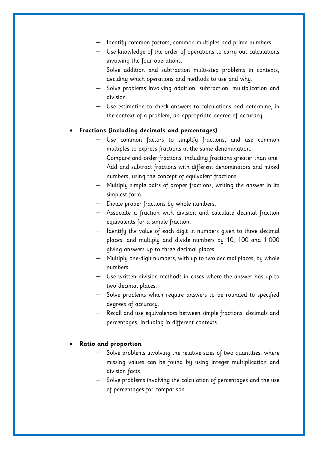- Identify common factors, common multiples and prime numbers.
- Use knowledge of the order of operations to carry out calculations involving the four operations.
- Solve addition and subtraction multi-step problems in contexts, deciding which operations and methods to use and why.
- Solve problems involving addition, subtraction, multiplication and division.
- Use estimation to check answers to calculations and determine, in the context of a problem, an appropriate degree of accuracy.

## • **Fractions (including decimals and percentages)**

- Use common factors to simplify fractions, and use common multiples to express fractions in the same denomination.
- Compare and order fractions, including fractions greater than one.
- Add and subtract fractions with different denominators and mixed numbers, using the concept of equivalent fractions.
- Multiply simple pairs of proper fractions, writing the answer in its simplest form.
- Divide proper fractions by whole numbers.
- Associate a fraction with division and calculate decimal fraction equivalents for a simple fraction.
- Identify the value of each digit in numbers given to three decimal places, and multiply and divide numbers by 10, 100 and 1,000 giving answers up to three decimal places.
- Multiply one-digit numbers, with up to two decimal places, by whole numbers.
- Use written division methods in cases where the answer has up to two decimal places.
- Solve problems which require answers to be rounded to specified degrees of accuracy.
- Recall and use equivalences between simple fractions, decimals and percentages, including in different contexts.

#### • **Ratio and proportion**

- Solve problems involving the relative sizes of two quantities, where missing values can be found by using integer multiplication and division facts.
- Solve problems involving the calculation of percentages and the use of percentages for comparison.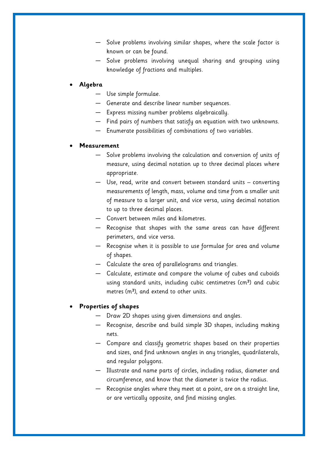- Solve problems involving similar shapes, where the scale factor is known or can be found.
- Solve problems involving unequal sharing and grouping using knowledge of fractions and multiples.

#### • **Algebra**

- Use simple formulae.
- Generate and describe linear number sequences.
- Express missing number problems algebraically.
- Find pairs of numbers that satisfy an equation with two unknowns.
- Enumerate possibilities of combinations of two variables.

#### • **Measurement**

- Solve problems involving the calculation and conversion of units of measure, using decimal notation up to three decimal places where appropriate.
- Use, read, write and convert between standard units converting measurements of length, mass, volume and time from a smaller unit of measure to a larger unit, and vice versa, using decimal notation to up to three decimal places.
- Convert between miles and kilometres.
- Recognise that shapes with the same areas can have different perimeters, and vice versa.
- Recognise when it is possible to use formulae for area and volume of shapes.
- Calculate the area of parallelograms and triangles.
- Calculate, estimate and compare the volume of cubes and cuboids using standard units, including cubic centimetres (cm<sup>3</sup>) and cubic metres  $(m<sup>3</sup>)$ , and extend to other units.

#### • **Properties of shapes**

- Draw 2D shapes using given dimensions and angles.
- Recognise, describe and build simple 3D shapes, including making nets.
- Compare and classify geometric shapes based on their properties and sizes, and find unknown angles in any triangles, quadrilaterals, and regular polygons.
- Illustrate and name parts of circles, including radius, diameter and circumference, and know that the diameter is twice the radius.
- Recognise angles where they meet at a point, are on a straight line, or are vertically opposite, and find missing angles.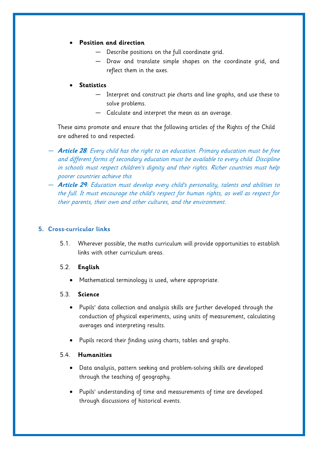# • **Position and direction**

- Describe positions on the full coordinate grid.
- Draw and translate simple shapes on the coordinate grid, and reflect them in the axes.

## • **Statistics**

- Interpret and construct pie charts and line graphs, and use these to solve problems.
- Calculate and interpret the mean as an average.

These aims promote and ensure that the following articles of the Rights of the Child are adhered to and respected:

- **Article 28**: Every child has the right to an education. Primary education must be free and different forms of secondary education must be available to every child. Discipline in schools must respect children's dignity and their rights. Richer countries must help poorer countries achieve this
- **Article 29**: Education must develop every child's personality, talents and abilities to the full. It must encourage the child's respect for human rights, as well as respect for their parents, their own and other cultures, and the environment.

## <span id="page-21-0"></span>**5. Cross-curricular links**

5.1. Wherever possible, the maths curriculum will provide opportunities to establish links with other curriculum areas.

## 5.2. **English**

• Mathematical terminology is used, where appropriate.

## 5.3. **Science**

- Pupils' data collection and analysis skills are further developed through the conduction of physical experiments, using units of measurement, calculating averages and interpreting results.
- Pupils record their finding using charts, tables and graphs.

## 5.4. **Humanities**

- Data analysis, pattern seeking and problem-solving skills are developed through the teaching of geography.
- Pupils' understanding of time and measurements of time are developed through discussions of historical events.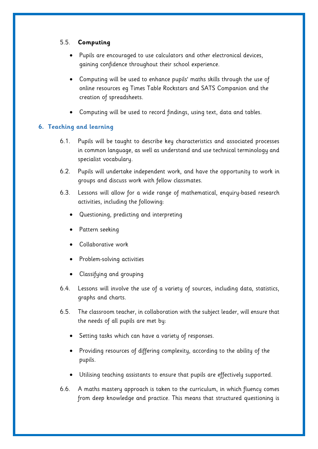# 5.5. **Computing**

- Pupils are encouraged to use calculators and other electronical devices, gaining confidence throughout their school experience.
- Computing will be used to enhance pupils' maths skills through the use of online resources eg Times Table Rockstars and SATS Companion and the creation of spreadsheets.
- Computing will be used to record findings, using text, data and tables.

# **6. Teaching and learning**

- 6.1. Pupils will be taught to describe key characteristics and associated processes in common language, as well as understand and use technical terminology and specialist vocabulary.
- 6.2. Pupils will undertake independent work, and have the opportunity to work in groups and discuss work with fellow classmates.
- 6.3. Lessons will allow for a wide range of mathematical, enquiry-based research activities, including the following:
	- Questioning, predicting and interpreting
	- Pattern seeking
	- Collaborative work
	- Problem-solving activities
	- Classifying and grouping
- 6.4. Lessons will involve the use of a variety of sources, including data, statistics, graphs and charts.
- 6.5. The classroom teacher, in collaboration with the subject leader, will ensure that the needs of all pupils are met by:
	- Setting tasks which can have a variety of responses.
	- Providing resources of differing complexity, according to the ability of the pupils.
	- Utilising teaching assistants to ensure that pupils are effectively supported.
- 6.6. A maths mastery approach is taken to the curriculum, in which fluency comes from deep knowledge and practice. This means that structured questioning is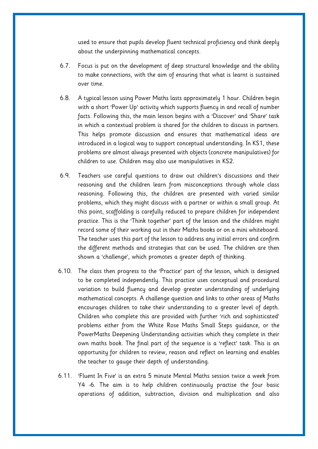used to ensure that pupils develop fluent technical proficiency and think deeply about the underpinning mathematical concepts.

- 6.7. Focus is put on the development of deep structural knowledge and the ability to make connections, with the aim of ensuring that what is learnt is sustained over time.
- 6.8. A typical lesson using Power Maths lasts approximately 1 hour. Children begin with a short 'Power Up' activity which supports fluency in and recall of number facts. Following this, the main lesson begins with a 'Discover' and 'Share' task in which a contextual problem is shared for the children to discuss in partners. This helps promote discussion and ensures that mathematical ideas are introduced in a logical way to support conceptual understanding. In KS1, these problems are almost always presented with objects (concrete manipulatives) for children to use. Children may also use manipulatives in KS2.
- 6.9. Teachers use careful questions to draw out children's discussions and their reasoning and the children learn from misconceptions through whole class reasoning. Following this, the children are presented with varied similar problems, which they might discuss with a partner or within a small group. At this point, scaffolding is carefully reduced to prepare children for independent practice. This is the 'Think together' part of the lesson and the children might record some of their working out in their Maths books or on a mini whiteboard. The teacher uses this part of the lesson to address any initial errors and confirm the different methods and strategies that can be used. The children are then shown a 'challenge', which promotes a greater depth of thinking.
- 6.10. The class then progress to the 'Practice' part of the lesson, which is designed to be completed independently. This practice uses conceptual and procedural variation to build fluency and develop greater understanding of underlying mathematical concepts. A challenge question and links to other areas of Maths encourages children to take their understanding to a greater level of depth. Children who complete this are provided with further 'rich and sophisticated' problems either from the White Rose Maths Small Steps guidance, or the PowerMaths Deepening Understanding activities which they complete in their own maths book. The final part of the sequence is a 'reflect' task. This is an opportunity for children to review, reason and reflect on learning and enables the teacher to gauge their depth of understanding.
- 6.11. 'Fluent In Five' is an extra 5 minute Mental Maths session twice a week from Y4 -6. The aim is to help children continuously practise the four basic operations of addition, subtraction, division and multiplication and also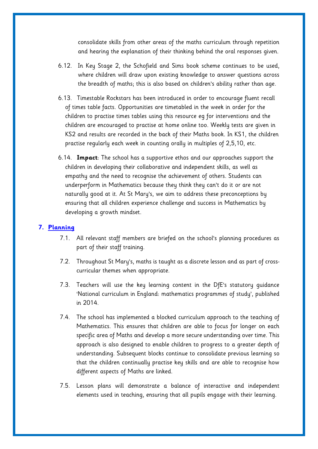consolidate skills from other areas of the maths curriculum through repetition and hearing the explanation of their thinking behind the oral responses given.

- 6.12. In Key Stage 2, the Schofield and Sims book scheme continues to be used, where children will draw upon existing knowledge to answer questions across the breadth of maths; this is also based on children's ability rather than age.
- 6.13. Timestable Rockstars has been introduced in order to encourage fluent recall of times table facts. Opportunities are timetabled in the week in order for the children to practise times tables using this resource eg for interventions and the children are encouraged to practise at home online too. Weekly tests are given in KS2 and results are recorded in the back of their Maths book. In KS1, the children practise regularly each week in counting orally in multiples of 2,5,10, etc.
- 6.14. **Impact**: The school has a supportive ethos and our approaches support the children in developing their collaborative and independent skills, as well as empathy and the need to recognise the achievement of others. Students can underperform in Mathematics because they think they can't do it or are not naturally good at it. At St Mary's, we aim to address these preconceptions by ensuring that all children experience challenge and success in Mathematics by developing a growth mindset.

#### **7. Planning**

- 7.1. All relevant staff members are briefed on the school's planning procedures as part of their staff training.
- 7.2. Throughout St Mary's, maths is taught as a discrete lesson and as part of crosscurricular themes when appropriate.
- 7.3. Teachers will use the key learning content in the DfE's statutory guidance 'National curriculum in England: mathematics programmes of study', published in 2014.
- 7.4. The school has implemented a blocked curriculum approach to the teaching of Mathematics. This ensures that children are able to focus for longer on each specific area of Maths and develop a more secure understanding over time. This approach is also designed to enable children to progress to a greater depth of understanding. Subsequent blocks continue to consolidate previous learning so that the children continually practise key skills and are able to recognise how different aspects of Maths are linked.
- 7.5. Lesson plans will demonstrate a balance of interactive and independent elements used in teaching, ensuring that all pupils engage with their learning.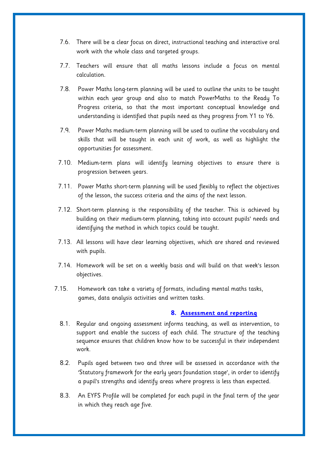- 7.6. There will be a clear focus on direct, instructional teaching and interactive oral work with the whole class and targeted groups.
- 7.7. Teachers will ensure that all maths lessons include a focus on mental calculation.
- 7.8. Power Maths long-term planning will be used to outline the units to be taught within each year group and also to match PowerMaths to the Ready To Progress criteria, so that the most important conceptual knowledge and understanding is identified that pupils need as they progress from Y1 to Y6.
- 7.9. Power Maths medium-term planning will be used to outline the vocabulary and skills that will be taught in each unit of work, as well as highlight the opportunities for assessment.
- 7.10. Medium-term plans will identify learning objectives to ensure there is progression between years.
- 7.11. Power Maths short-term planning will be used flexibly to reflect the objectives of the lesson, the success criteria and the aims of the next lesson.
- 7.12. Short-term planning is the responsibility of the teacher. This is achieved by building on their medium-term planning, taking into account pupils' needs and identifying the method in which topics could be taught.
- 7.13. All lessons will have clear learning objectives, which are shared and reviewed with pupils.
- 7.14. Homework will be set on a weekly basis and will build on that week's lesson objectives.
- 7.15. Homework can take a variety of formats, including mental maths tasks, games, data analysis activities and written tasks.

#### **8. Assessment and reporting**

- 8.1. Regular and ongoing assessment informs teaching, as well as intervention, to support and enable the success of each child. The structure of the teaching sequence ensures that children know how to be successful in their independent work.
- 8.2. Pupils aged between two and three will be assessed in accordance with the 'Statutory framework for the early years foundation stage', in order to identify a pupil's strengths and identify areas where progress is less than expected.
- 8.3. An EYFS Profile will be completed for each pupil in the final term of the year in which they reach age five.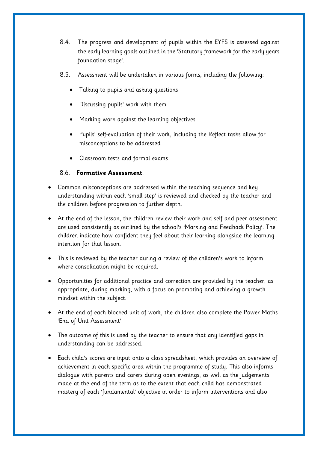- 8.4. The progress and development of pupils within the EYFS is assessed against the early learning goals outlined in the 'Statutory framework for the early years foundation stage'.
- 8.5. Assessment will be undertaken in various forms, including the following:
	- Talking to pupils and asking questions
	- Discussing pupils' work with them
	- Marking work against the learning objectives
	- Pupils' self-evaluation of their work, including the Reflect tasks allow for misconceptions to be addressed
	- Classroom tests and formal exams

## 8.6. **Formative Assessment**:

- Common misconceptions are addressed within the teaching sequence and key understanding within each 'small step' is reviewed and checked by the teacher and the children before progression to further depth.
- At the end of the lesson, the children review their work and self and peer assessment are used consistently as outlined by the school's 'Marking and Feedback Policy'. The children indicate how confident they feel about their learning alongside the learning intention for that lesson.
- This is reviewed by the teacher during a review of the children's work to inform where consolidation might be required.
- Opportunities for additional practice and correction are provided by the teacher, as appropriate, during marking, with a focus on promoting and achieving a growth mindset within the subject.
- At the end of each blocked unit of work, the children also complete the Power Maths 'End of Unit Assessment'.
- The outcome of this is used by the teacher to ensure that any identified gaps in understanding can be addressed.
- Each child's scores are input onto a class spreadsheet, which provides an overview of achievement in each specific area within the programme of study. This also informs dialogue with parents and carers during open evenings, as well as the judgements made at the end of the term as to the extent that each child has demonstrated mastery of each 'fundamental' objective in order to inform interventions and also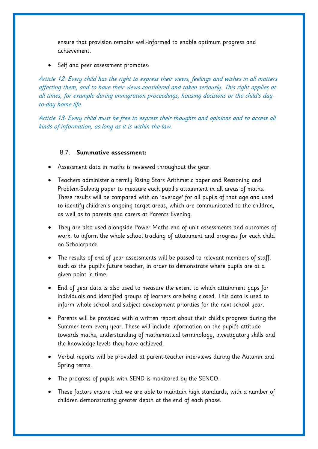ensure that provision remains well-informed to enable optimum progress and achievement.

• Self and peer assessment promotes:

Article 12: Every child has the right to express their views, feelings and wishes in all matters affecting them, and to have their views considered and taken seriously. This right applies at all times, for example during immigration proceedings, housing decisions or the child's dayto-day home life.

Article 13: Every child must be free to express their thoughts and opinions and to access all kinds of information, as long as it is within the law.

## 8.7. **Summative assessment:**

- Assessment data in maths is reviewed throughout the year.
- Teachers administer a termly Rising Stars Arithmetic paper and Reasoning and Problem-Solving paper to measure each pupil's attainment in all areas of maths. These results will be compared with an 'average' for all pupils of that age and used to identify children's ongoing target areas, which are communicated to the children, as well as to parents and carers at Parents Evening.
- They are also used alongside Power Maths end of unit assessments and outcomes of work, to inform the whole school tracking of attainment and progress for each child on Scholarpack.
- The results of end-of-year assessments will be passed to relevant members of staff, such as the pupil's future teacher, in order to demonstrate where pupils are at a given point in time.
- End of year data is also used to measure the extent to which attainment gaps for individuals and identified groups of learners are being closed. This data is used to inform whole school and subject development priorities for the next school year.
- Parents will be provided with a written report about their child's progress during the Summer term every year. These will include information on the pupil's attitude towards maths, understanding of mathematical terminology, investigatory skills and the knowledge levels they have achieved.
- Verbal reports will be provided at parent-teacher interviews during the Autumn and Spring terms.
- The progress of pupils with SEND is monitored by the SENCO.
- These factors ensure that we are able to maintain high standards, with a number of children demonstrating greater depth at the end of each phase.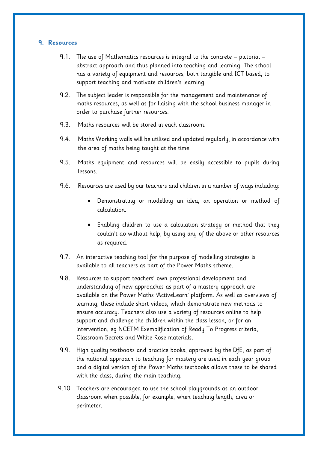#### **9. Resources**

- 9.1. The use of Mathematics resources is integral to the concrete pictorial abstract approach and thus planned into teaching and learning. The school has a variety of equipment and resources, both tangible and ICT based, to support teaching and motivate children's learning.
- 9.2. The subject leader is responsible for the management and maintenance of maths resources, as well as for liaising with the school business manager in order to purchase further resources.
- 9.3. Maths resources will be stored in each classroom.
- 9.4. Maths Working walls will be utilised and updated regularly, in accordance with the area of maths being taught at the time.
- 9.5. Maths equipment and resources will be easily accessible to pupils during lessons.
- 9.6. Resources are used by our teachers and children in a number of ways including:
	- Demonstrating or modelling an idea, an operation or method of calculation.
	- Enabling children to use a calculation strategy or method that they couldn't do without help, by using any of the above or other resources as required.
- 9.7. An interactive teaching tool for the purpose of modelling strategies is available to all teachers as part of the Power Maths scheme.
- 9.8. Resources to support teachers' own professional development and understanding of new approaches as part of a mastery approach are available on the Power Maths 'ActiveLearn' platform. As well as overviews of learning, these include short videos, which demonstrate new methods to ensure accuracy. Teachers also use a variety of resources online to help support and challenge the children within the class lesson, or for an intervention, eg NCETM Exemplification of Ready To Progress criteria, Classroom Secrets and White Rose materials.
- 9.9. High quality textbooks and practice books, approved by the DfE, as part of the national approach to teaching for mastery are used in each year group and a digital version of the Power Maths textbooks allows these to be shared with the class, during the main teaching.
- 9.10. Teachers are encouraged to use the school playgrounds as an outdoor classroom when possible, for example, when teaching length, area or perimeter.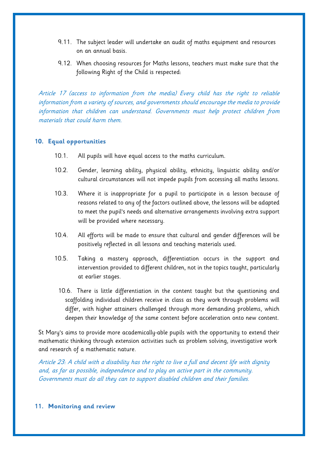- 9.11. The subject leader will undertake an audit of maths equipment and resources on an annual basis.
- 9.12. When choosing resources for Maths lessons, teachers must make sure that the following Right of the Child is respected:

Article 17 (access to information from the media) Every child has the right to reliable information from a variety of sources, and governments should encourage the media to provide information that children can understand. Governments must help protect children from materials that could harm them.

## **10. Equal opportunities**

- 10.1. All pupils will have equal access to the maths curriculum.
- 10.2. Gender, learning ability, physical ability, ethnicity, linguistic ability and/or cultural circumstances will not impede pupils from accessing all maths lessons.
- 10.3. Where it is inappropriate for a pupil to participate in a lesson because of reasons related to any of the factors outlined above, the lessons will be adapted to meet the pupil's needs and alternative arrangements involving extra support will be provided where necessary.
- 10.4. All efforts will be made to ensure that cultural and gender differences will be positively reflected in all lessons and teaching materials used.
- 10.5. Taking a mastery approach, differentiation occurs in the support and intervention provided to different children, not in the topics taught, particularly at earlier stages.
	- 10.6. There is little differentiation in the content taught but the questioning and scaffolding individual children receive in class as they work through problems will differ, with higher attainers challenged through more demanding problems, which deepen their knowledge of the same content before acceleration onto new content.

St Mary's aims to provide more academically-able pupils with the opportunity to extend their mathematic thinking through extension activities such as problem solving, investigative work and research of a mathematic nature.

Article 23: A child with a disability has the right to live a full and decent life with dignity and, as far as possible, independence and to play an active part in the community. Governments must do all they can to support disabled children and their families.

**11. Monitoring and review**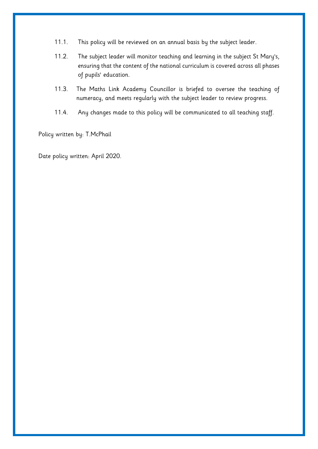- 11.1. This policy will be reviewed on an annual basis by the subject leader.
- 11.2. The subject leader will monitor teaching and learning in the subject St Mary's, ensuring that the content of the national curriculum is covered across all phases of pupils' education.
- 11.3. The Maths Link Academy Councillor is briefed to oversee the teaching of numeracy, and meets regularly with the subject leader to review progress.
- 11.4. Any changes made to this policy will be communicated to all teaching staff.

Policy written by: T.McPhail

Date policy written: April 2020.